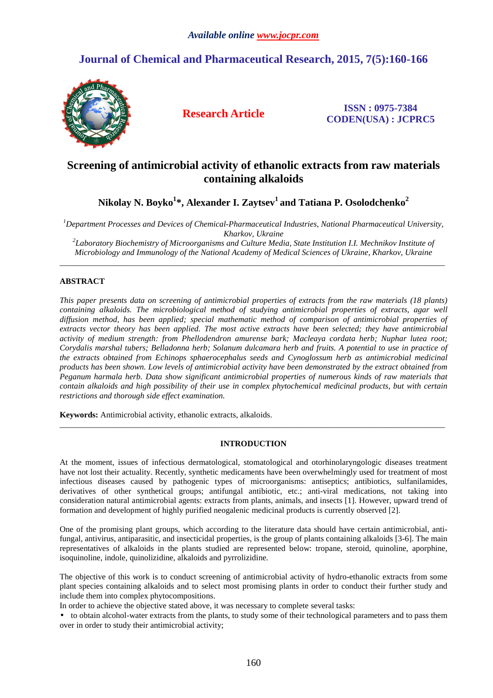# **Journal of Chemical and Pharmaceutical Research, 2015, 7(5):160-166**



**Research Article ISSN : 0975-7384 CODEN(USA) : JCPRC5**

## **Screening of antimicrobial activity of ethanolic extracts from raw materials containing alkaloids**

**Nikolay N. Boyko<sup>1</sup> \*, Alexander I. Zaytsev<sup>1</sup>and Tatiana P. Osolodchenko<sup>2</sup>**

*<sup>1</sup>Department Processes and Devices of Chemical-Pharmaceutical Industries, National Pharmaceutical University, Kharkov, Ukraine* 

*2 Laboratory Biochemistry of Microorganisms and Culture Media, State Institution I.I. Mechnikov Institute of Microbiology and Immunology of the National Academy of Medical Sciences of Ukraine, Kharkov, Ukraine*  \_\_\_\_\_\_\_\_\_\_\_\_\_\_\_\_\_\_\_\_\_\_\_\_\_\_\_\_\_\_\_\_\_\_\_\_\_\_\_\_\_\_\_\_\_\_\_\_\_\_\_\_\_\_\_\_\_\_\_\_\_\_\_\_\_\_\_\_\_\_\_\_\_\_\_\_\_\_\_\_\_\_\_\_\_\_\_\_\_\_\_\_\_

## **ABSTRACT**

*This paper presents data on screening of antimicrobial properties of extracts from the raw materials (18 plants) containing alkaloids. The microbiological method of studying antimicrobial properties of extracts, agar well diffusion method, has been applied; special mathematic method of comparison of antimicrobial properties of extracts vector theory has been applied. The most active extracts have been selected; they have antimicrobial activity of medium strength: from Phellodendron amurense bark; Macleaya cordata herb; Nuphar lutea root; Corydalis marshal tubers; Belladonna herb; Solanum dulcamara herb and fruits. A potential to use in practice of the extracts obtained from Echinops sphaerocephalus seeds and Cynoglossum herb as antimicrobial medicinal products has been shown. Low levels of antimicrobial activity have been demonstrated by the extract obtained from Peganum harmala herb. Data show significant antimicrobial properties of numerous kinds of raw materials that contain alkaloids and high possibility of their use in complex phytochemical medicinal products, but with certain restrictions and thorough side effect examination.* 

**Keywords:** Antimicrobial activity, ethanolic extracts, alkaloids.

## **INTRODUCTION**

\_\_\_\_\_\_\_\_\_\_\_\_\_\_\_\_\_\_\_\_\_\_\_\_\_\_\_\_\_\_\_\_\_\_\_\_\_\_\_\_\_\_\_\_\_\_\_\_\_\_\_\_\_\_\_\_\_\_\_\_\_\_\_\_\_\_\_\_\_\_\_\_\_\_\_\_\_\_\_\_\_\_\_\_\_\_\_\_\_\_\_\_\_

At the moment, issues of infectious dermatological, stomatological and otorhinolaryngologic diseases treatment have not lost their actuality. Recently, synthetic medicaments have been overwhelmingly used for treatment of most infectious diseases caused by pathogenic types of microorganisms: antiseptics; antibiotics, sulfanilamides, derivatives of other synthetical groups; antifungal antibiotic, etc.; anti-viral medications, not taking into consideration natural antimicrobial agents: extracts from plants, animals, and insects [1]. However, upward trend of formation and development of highly purified neogalenic medicinal products is currently observed [2].

One of the promising plant groups, which according to the literature data should have certain antimicrobial, antifungal, antivirus, antiparasitic, and insecticidal properties, is the group of plants containing alkaloids [3-6]. The main representatives of alkaloids in the plants studied are represented below: tropane, steroid, quinoline, aporphine, isoquinoline, indole, quinolizidine, alkaloids and pyrrolizidine.

The objective of this work is to conduct screening of antimicrobial activity of hydro-ethanolic extracts from some plant species containing alkaloids and to select most promising plants in order to conduct their further study and include them into complex phytocompositions.

In order to achieve the objective stated above, it was necessary to complete several tasks:

• to obtain alcohol-water extracts from the plants, to study some of their technological parameters and to pass them over in order to study their antimicrobial activity;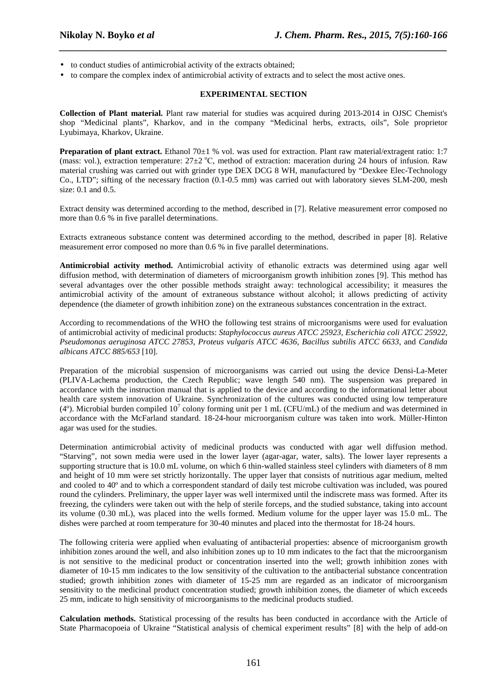- to conduct studies of antimicrobial activity of the extracts obtained;
- to compare the complex index of antimicrobial activity of extracts and to select the most active ones.

## **EXPERIMENTAL SECTION**

*\_\_\_\_\_\_\_\_\_\_\_\_\_\_\_\_\_\_\_\_\_\_\_\_\_\_\_\_\_\_\_\_\_\_\_\_\_\_\_\_\_\_\_\_\_\_\_\_\_\_\_\_\_\_\_\_\_\_\_\_\_\_\_\_\_\_\_\_\_\_\_\_\_\_\_\_\_\_*

**Collection of Plant material.** Plant raw material for studies was acquired during 2013-2014 in OJSC Chemist's shop "Medicinal plants", Kharkov, and in the company "Medicinal herbs, extracts, oils", Sole proprietor Lyubimaya, Kharkov, Ukraine.

**Preparation of plant extract.** Ethanol 70±1 % vol. was used for extraction. Plant raw material/extragent ratio: 1:7 (mass: vol.), extraction temperature:  $27\pm2$  °C, method of extraction: maceration during 24 hours of infusion. Raw material crushing was carried out with grinder type DEX DCG 8 WH, manufactured by "Dexkee Elec-Technology Co., LTD"; sifting of the necessary fraction (0.1-0.5 mm) was carried out with laboratory sieves SLM-200, mesh size: 0.1 and 0.5.

Extract density was determined according to the method, described in [7]. Relative measurement error composed no more than 0.6 % in five parallel determinations.

Extracts extraneous substance content was determined according to the method, described in paper [8]. Relative measurement error composed no more than 0.6 % in five parallel determinations.

**Antimicrobial activity method.** Antimicrobial activity of ethanolic extracts was determined using agar well diffusion method, with determination of diameters of microorganism growth inhibition zones [9]. This method has several advantages over the other possible methods straight away: technological accessibility; it measures the antimicrobial activity of the amount of extraneous substance without alcohol; it allows predicting of activity dependence (the diameter of growth inhibition zone) on the extraneous substances concentration in the extract.

According to recommendations of the WHO the following test strains of microorganisms were used for evaluation of antimicrobial activity of medicinal products: *Staphylococcus aureus ATCC 25923*, *Escherichia coli ATCC 25922*, *Pseudomonas aeruginosa ATCC 27853*, *Proteus vulgaris ATCC 4636*, *Bacillus subtilis ATCC 6633*, and *Candida albicans ATCC 885/653* [10].

Preparation of the microbial suspension of microorganisms was carried out using the device Densi-La-Meter (PLIVA-Lachema production, the Czech Republic; wave length 540 nm). The suspension was prepared in accordance with the instruction manual that is applied to the device and according to the informational letter about health care system innovation of Ukraine. Synchronization of the cultures was conducted using low temperature (4°). Microbial burden compiled  $10^7$  colony forming unit per 1 mL (CFU/mL) of the medium and was determined in accordance with the McFarland standard. 18-24-hour microorganism culture was taken into work. Müller-Hinton agar was used for the studies.

Determination antimicrobial activity of medicinal products was conducted with agar well diffusion method. "Starving", not sown media were used in the lower layer (agar-agar, water, salts). The lower layer represents a supporting structure that is 10.0 mL volume, on which 6 thin-walled stainless steel cylinders with diameters of 8 mm and height of 10 mm were set strictly horizontally. The upper layer that consists of nutritious agar medium, melted and cooled to 40º and to which a correspondent standard of daily test microbe cultivation was included, was poured round the cylinders. Preliminary, the upper layer was well intermixed until the indiscrete mass was formed. After its freezing, the cylinders were taken out with the help of sterile forceps, and the studied substance, taking into account its volume (0.30 mL), was placed into the wells formed. Medium volume for the upper layer was 15.0 mL. The dishes were parched at room temperature for 30-40 minutes and placed into the thermostat for 18-24 hours.

The following criteria were applied when evaluating of antibacterial properties: absence of microorganism growth inhibition zones around the well, and also inhibition zones up to 10 mm indicates to the fact that the microorganism is not sensitive to the medicinal product or concentration inserted into the well; growth inhibition zones with diameter of 10-15 mm indicates to the low sensitivity of the cultivation to the antibacterial substance concentration studied; growth inhibition zones with diameter of 15-25 mm are regarded as an indicator of microorganism sensitivity to the medicinal product concentration studied; growth inhibition zones, the diameter of which exceeds 25 mm, indicate to high sensitivity of microorganisms to the medicinal products studied.

**Calculation methods.** Statistical processing of the results has been conducted in accordance with the Article of State Pharmacopoeia of Ukraine "Statistical analysis of chemical experiment results" [8] with the help of add-on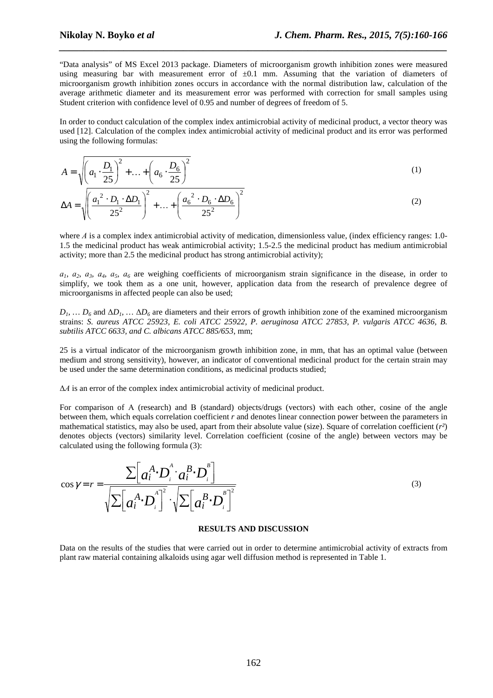"Data analysis" of MS Excel 2013 package. Diameters of microorganism growth inhibition zones were measured using measuring bar with measurement error of  $\pm 0.1$  mm. Assuming that the variation of diameters of microorganism growth inhibition zones occurs in accordance with the normal distribution law, calculation of the average arithmetic diameter and its measurement error was performed with correction for small samples using Student criterion with confidence level of 0.95 and number of degrees of freedom of 5.

*\_\_\_\_\_\_\_\_\_\_\_\_\_\_\_\_\_\_\_\_\_\_\_\_\_\_\_\_\_\_\_\_\_\_\_\_\_\_\_\_\_\_\_\_\_\_\_\_\_\_\_\_\_\_\_\_\_\_\_\_\_\_\_\_\_\_\_\_\_\_\_\_\_\_\_\_\_\_*

In order to conduct calculation of the complex index antimicrobial activity of medicinal product, a vector theory was used [12]. Calculation of the complex index antimicrobial activity of medicinal product and its error was performed using the following formulas:

$$
A = \sqrt{\left(a_1 \cdot \frac{D_1}{25}\right)^2 + \dots + \left(a_6 \cdot \frac{D_6}{25}\right)^2}
$$
 (1)

$$
\Delta A = \sqrt{\left(\frac{a_1^2 \cdot D_1 \cdot \Delta D_1}{25^2}\right)^2 + \dots + \left(\frac{a_6^2 \cdot D_6 \cdot \Delta D_6}{25^2}\right)^2}
$$
 (2)

where *A* is a complex index antimicrobial activity of medication, dimensionless value, (index efficiency ranges: 1.0-1.5 the medicinal product has weak antimicrobial activity; 1.5-2.5 the medicinal product has medium antimicrobial activity; more than 2.5 the medicinal product has strong antimicrobial activity);

*а1*, *а2*, *а3*, *а4*, *а5*, *а6* are weighing coefficients of microorganism strain significance in the disease, in order to simplify, we took them as a one unit, however, application data from the research of prevalence degree of microorganisms in affected people can also be used;

 $D_1$ , ...  $D_6$  and  $\Delta D_1$ , ...  $\Delta D_6$  are diameters and their errors of growth inhibition zone of the examined microorganism strains: *S. aureus ATCC 25923, E. coli ATCC 25922, P. aeruginosa ATCC 27853, P. vulgaris ATCC 4636, B. subtilis ATCC 6633, and C. albicans ATCC 885/653*, mm;

25 is a virtual indicator of the microorganism growth inhibition zone, in mm, that has an optimal value (between medium and strong sensitivity), however, an indicator of conventional medicinal product for the certain strain may be used under the same determination conditions, as medicinal products studied;

∆*А* is an error of the complex index antimicrobial activity of medicinal product.

For comparison of A (research) and B (standard) objects/drugs (vectors) with each other, cosine of the angle between them, which equals correlation coefficient *r* and denotes linear connection power between the parameters in mathematical statistics, may also be used, apart from their absolute value (size). Square of correlation coefficient (*r²*) denotes objects (vectors) similarity level. Correlation coefficient (cosine of the angle) between vectors may be calculated using the following formula (3):

$$
\cos \gamma = r = \frac{\sum \left[ a_i^A \cdot D_i^A \cdot a_i^B \cdot D_i^B \right]}{\sqrt{\sum \left[ a_i^A \cdot D_i^A \right]^2} \cdot \sqrt{\sum \left[ a_i^B \cdot D_i^B \right]^2}}
$$
\n(3)

### **RESULTS AND DISCUSSION**

Data on the results of the studies that were carried out in order to determine antimicrobial activity of extracts from plant raw material containing alkaloids using agar well diffusion method is represented in Table 1.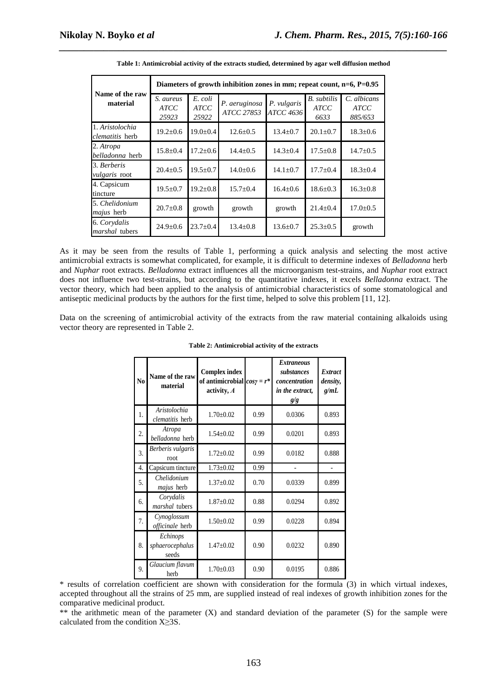|                                           | Diameters of growth inhibition zones in mm; repeat count, $n=6$ , $P=0.95$ |                                 |                             |                                 |                                    |                                       |  |
|-------------------------------------------|----------------------------------------------------------------------------|---------------------------------|-----------------------------|---------------------------------|------------------------------------|---------------------------------------|--|
| Name of the raw<br>material               | S. aureus<br><b>ATCC</b><br>25923                                          | E. coli<br><b>ATCC</b><br>25922 | P. aeruginosa<br>ATCC 27853 | P. vulgaris<br><b>ATCC 4636</b> | B. subtilis<br><b>ATCC</b><br>6633 | C. albicans<br><b>ATCC</b><br>885/653 |  |
| 1. Aristolochia<br><i>clematitis</i> herb | $19.2 \pm 0.6$                                                             | $19.0 \pm 0.4$                  | $12.6 \pm 0.5$              | $13.4 \pm 0.7$                  | $20.1 \pm 0.7$                     | $18.3 \pm 0.6$                        |  |
| 2. Atropa<br><i>belladonna</i> herb       | $15.8 \pm 0.4$                                                             | $17.2 \pm 0.6$                  | $14.4 \pm 0.5$              | $14.3 \pm 0.4$                  | $17.5 \pm 0.8$                     | $14.7 \pm 0.5$                        |  |
| 3. Berberis<br><i>vulgaris</i> root       | $20.4 \pm 0.5$                                                             | $19.5 \pm 0.7$                  | $14.0 \pm 0.6$              | $14.1 + 0.7$                    | $17.7 + 0.4$                       | $18.3 \pm 0.4$                        |  |
| 4. Capsicum<br>tincture                   | $19.5 \pm 0.7$                                                             | $19.2 \pm 0.8$                  | $15.7 \pm 0.4$              | $16.4 \pm 0.6$                  | $18.6 \pm 0.3$                     | $16.3 \pm 0.8$                        |  |
| 5. Chelidonium<br><i>majus</i> herb       | $20.7 \pm 0.8$                                                             | growth                          | growth                      | growth                          | $21.4 \pm 0.4$                     | $17.0 \pm 0.5$                        |  |
| 6. Corydalis<br>marshal tubers            | $24.9 \pm 0.6$                                                             | $23.7 \pm 0.4$                  | $13.4 \pm 0.8$              | $13.6 \pm 0.7$                  | $25.3 \pm 0.5$                     | growth                                |  |

*\_\_\_\_\_\_\_\_\_\_\_\_\_\_\_\_\_\_\_\_\_\_\_\_\_\_\_\_\_\_\_\_\_\_\_\_\_\_\_\_\_\_\_\_\_\_\_\_\_\_\_\_\_\_\_\_\_\_\_\_\_\_\_\_\_\_\_\_\_\_\_\_\_\_\_\_\_\_* **Table 1: Antimicrobial activity of the extracts studied, determined by agar well diffusion method** 

As it may be seen from the results of Table 1, performing a quick analysis and selecting the most active antimicrobial extracts is somewhat complicated, for example, it is difficult to determine indexes of *Belladonna* herb and *Nuphar* root extracts. *Belladonna* extract influences all the microorganism test-strains, and *Nuphar* root extract does not influence two test-strains, but according to the quantitative indexes, it excels *Belladonna* extract. The vector theory, which had been applied to the analysis of antimicrobial characteristics of some stomatological and antiseptic medicinal products by the authors for the first time, helped to solve this problem [11, 12].

Data on the screening of antimicrobial activity of the extracts from the raw material containing alkaloids using vector theory are represented in Table 2.

| N <sub>0</sub> | Name of the raw<br>material          | <b>Complex index</b><br>of antimicrobial $cos\gamma = r^*$<br>activity, A |      | <i><b>Extraneous</b></i><br>substances<br>concentration<br>in the extract,<br>g/g | <i>Extract</i><br>density,<br>g/mL |
|----------------|--------------------------------------|---------------------------------------------------------------------------|------|-----------------------------------------------------------------------------------|------------------------------------|
| 1.             | Aristolochia<br>clematitis herb      | $1.70 \pm 0.02$                                                           | 0.99 | 0.0306                                                                            | 0.893                              |
| 2.             | Atropa<br>belladonna herb            | $1.54 \pm 0.02$                                                           | 0.99 | 0.0201                                                                            | 0.893                              |
| 3.             | Berberis vulgaris<br>root            | $1.72 \pm 0.02$                                                           | 0.99 | 0.0182                                                                            | 0.888                              |
| 4.             | Capsicum tincture                    | $1.73 \pm 0.02$                                                           | 0.99 |                                                                                   |                                    |
| 5.             | Chelidonium<br>majus herb            | $1.37 \pm 0.02$                                                           | 0.70 | 0.0339                                                                            | 0.899                              |
| 6.             | Corydalis<br>marshal tubers          | $1.87 \pm 0.02$                                                           | 0.88 | 0.0294                                                                            | 0.892                              |
| 7.             | Cynoglossum<br>officinale herb       | $1.50 \pm 0.02$                                                           | 0.99 | 0.0228                                                                            | 0.894                              |
| 8.             | Echinops<br>sphaerocephalus<br>seeds | $1.47 \pm 0.02$                                                           | 0.90 | 0.0232                                                                            | 0.890                              |
| 9.             | Glaucium flavum<br>herb              | $1.70 \pm 0.03$                                                           | 0.90 | 0.0195                                                                            | 0.886                              |

#### **Table 2: Antimicrobial activity of the extracts**

\* results of correlation coefficient are shown with consideration for the formula (3) in which virtual indexes, accepted throughout all the strains of 25 mm, are supplied instead of real indexes of growth inhibition zones for the comparative medicinal product.

\*\* the arithmetic mean of the parameter (X) and standard deviation of the parameter (S) for the sample were calculated from the condition  $X > 3S$ .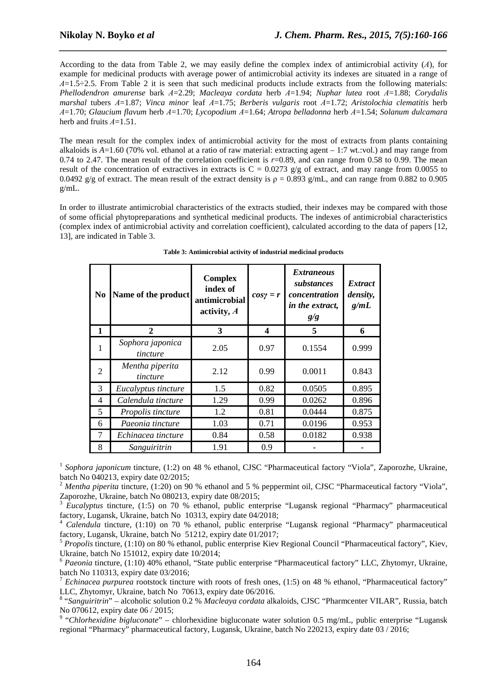According to the data from Table 2, we may easily define the complex index of antimicrobial activity (*А*), for example for medicinal products with average power of antimicrobial activity its indexes are situated in a range of *А*=1.5÷2.5. From Table 2 it is seen that such medicinal products include extracts from the following materials: *Phellodendron amurense* bark *А*=2.29; *Macleaya cordata* herb *А*=1.94; *Nuphar lutea* root *А*=1.88; *Corydalis marshal* tubers *А*=1.87; *Vinca minor* leaf *А*=1.75; *Berberis vulgaris* root *А*=1.72; *Aristolochia clematitis* herb *А*=1.70; *Glaucium flavum* herb *А*=1.70; *Lycopodium А*=1.64; *Atropa belladonna* herb *А*=1.54; *Solanum dulcamara* herb and fruits *А*=1.51.

*\_\_\_\_\_\_\_\_\_\_\_\_\_\_\_\_\_\_\_\_\_\_\_\_\_\_\_\_\_\_\_\_\_\_\_\_\_\_\_\_\_\_\_\_\_\_\_\_\_\_\_\_\_\_\_\_\_\_\_\_\_\_\_\_\_\_\_\_\_\_\_\_\_\_\_\_\_\_*

The mean result for the complex index of antimicrobial activity for the most of extracts from plants containing alkaloids is *A*=1.60 (70% vol. ethanol at a ratio of raw material: extracting agent – 1:7 wt.:vol.) and may range from 0.74 to 2.47. The mean result of the correlation coefficient is *r*=0.89, and can range from 0.58 to 0.99. The mean result of the concentration of extractives in extracts is  $C = 0.0273$  g/g of extract, and may range from 0.0055 to 0.0492 g/g of extract. The mean result of the extract density is  $\rho = 0.893$  g/mL, and can range from 0.882 to 0.905 g/mL.

In order to illustrate antimicrobial characteristics of the extracts studied, their indexes may be compared with those of some official phytopreparations and synthetical medicinal products. The indexes of antimicrobial characteristics (complex index of antimicrobial activity and correlation coefficient), calculated according to the data of papers [12, 13], are indicated in Table 3.

| N <sub>0</sub> | Name of the product          | <b>Complex</b><br>index of<br>antimicrobial<br>activity, A | $cos\gamma = r$ | <i>Extraneous</i><br>substances<br>concentration<br>in the extract,<br>g/g | <b>Extract</b><br>density,<br>g/mL |
|----------------|------------------------------|------------------------------------------------------------|-----------------|----------------------------------------------------------------------------|------------------------------------|
| 1              | $\mathbf{2}$                 | 3                                                          | 4               | 5                                                                          | 6                                  |
| $\mathbf{1}$   | Sophora japonica<br>tincture | 2.05                                                       | 0.97            | 0.1554                                                                     | 0.999                              |
| 2              | Mentha piperita<br>tincture  | 2.12                                                       | 0.99            | 0.0011                                                                     | 0.843                              |
| 3              | Eucalyptus tincture          | 1.5                                                        | 0.82            | 0.0505                                                                     | 0.895                              |
| 4              | Calendula tincture           | 1.29                                                       | 0.99            | 0.0262                                                                     | 0.896                              |
| 5              | Propolis tincture            | 1.2                                                        | 0.81            | 0.0444                                                                     | 0.875                              |
| 6              | Paeonia tincture             | 1.03                                                       | 0.71            | 0.0196                                                                     | 0.953                              |
| $\overline{7}$ | Echinacea tincture           | 0.84                                                       | 0.58            | 0.0182                                                                     | 0.938                              |
| 8              | Sanguiritrin                 | 1.91                                                       | 0.9             |                                                                            |                                    |

| Table 3: Antimicrobial activity of industrial medicinal products |  |  |
|------------------------------------------------------------------|--|--|
|                                                                  |  |  |

<sup>1</sup> Sophora japonicum tincture, (1:2) on 48 % ethanol, CJSC "Pharmaceutical factory "Viola", Zaporozhe, Ukraine, batch No 040213, expiry date 02/2015;

<sup>2</sup> *Mentha piperita* tincture, (1:20) on 90 % ethanol and 5 % peppermint oil, CJSC "Pharmaceutical factory "Viola", Zaporozhe, Ukraine, batch No 080213, expiry date 08/2015;

<sup>3</sup> *Eucalyptus* tincture, (1:5) on 70 % ethanol, public enterprise "Lugansk regional "Pharmacy" pharmaceutical factory, Lugansk, Ukraine, batch No 10313, expiry date 04/2018;

<sup>4</sup> *Calendula* tincture, (1:10) on 70 % ethanol, public enterprise "Lugansk regional "Pharmacy" pharmaceutical factory, Lugansk, Ukraine, batch No 51212, expiry date 01/2017;

<sup>5</sup> *Propolis* tincture, (1:10) on 80 % ethanol, public enterprise Kiev Regional Council "Pharmaceutical factory", Kiev, Ukraine, batch No 151012, expiry date 10/2014;

<sup>6</sup> *Paeonia* tincture, (1:10) 40% ethanol, "State public enterprise "Pharmaceutical factory" LLC, Zhytomyr, Ukraine, batch No 110313, expiry date 03/2016;

<sup>7</sup> *Echinacea purpurea* rootstock tincture with roots of fresh ones, (1:5) on 48 % ethanol, "Pharmaceutical factory" LLC, Zhytomyr, Ukraine, batch No 70613, expiry date 06/2016.

8 "*Sanguiritrin*" – alcoholic solution 0.2 % *Macleaya cordata* alkaloids, CJSC "Pharmcenter VILAR", Russia, batch

No 070612, expiry date 06 / 2015;<br><sup>9</sup> "*Chlorhexidine bigluconate*" – chlorhexidine bigluconate water solution 0.5 mg/mL, public enterprise "Lugansk regional "Pharmacy" pharmaceutical factory, Lugansk, Ukraine, batch No 220213, expiry date 03 / 2016;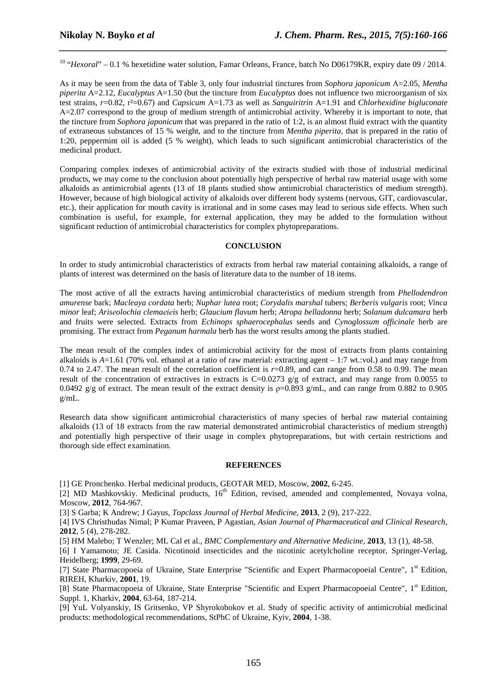<sup>10</sup> "*Hexoral*" – 0.1 % hexetidine water solution, Famar Orleans, France, batch No D06179KR, expiry date 09 / 2014.

*\_\_\_\_\_\_\_\_\_\_\_\_\_\_\_\_\_\_\_\_\_\_\_\_\_\_\_\_\_\_\_\_\_\_\_\_\_\_\_\_\_\_\_\_\_\_\_\_\_\_\_\_\_\_\_\_\_\_\_\_\_\_\_\_\_\_\_\_\_\_\_\_\_\_\_\_\_\_*

As it may be seen from the data of Table 3, only four industrial tinctures from *Sophora japonicum* A=2.05, *Mentha piperita* A=2.12, *Eucalyptus* A=1.50 (but the tincture from *Eucalyptus* does not influence two microorganism of six test strains, *r*=0.82, r²=0.67) and *Capsicum* А=1.73 as well as *Sanguiritrin* А=1.91 and *Chlorhexidine bigluconate* А=2.07 correspond to the group of medium strength of antimicrobial activity. Whereby it is important to note, that the tincture from *Sophora japonicum* that was prepared in the ratio of 1:2, is an almost fluid extract with the quantity of extraneous substances of 15 % weight, and to the tincture from *Mentha piperita,* that is prepared in the ratio of 1:20, peppermint oil is added (5 % weight), which leads to such significant antimicrobial characteristics of the medicinal product.

Comparing complex indexes of antimicrobial activity of the extracts studied with those of industrial medicinal products, we may come to the conclusion about potentially high perspective of herbal raw material usage with some alkaloids as antimicrobial agents (13 of 18 plants studied show antimicrobial characteristics of medium strength). However, because of high biological activity of alkaloids over different body systems (nervous, GIT, cardiovascular, etc.), their application for mouth cavity is irrational and in some cases may lead to serious side effects. When such combination is useful, for example, for external application, they may be added to the formulation without significant reduction of antimicrobial characteristics for complex phytopreparations.

### **CONCLUSION**

In order to study antimicrobial characteristics of extracts from herbal raw material containing alkaloids, a range of plants of interest was determined on the basis of literature data to the number of 18 items.

The most active of all the extracts having antimicrobial characteristics of medium strength from *Phellodendron amurense* bark; *Macleaya cordata* herb; *Nuphar lutea* root; *Corydalis marshal* tubers; *Berberis vulgaris* root; *Vinca minor* leaf; *Arisеolochia clemaеiеis* herb; *Glaucium flavum* herb; *Atropa belladonna* herb; *Solanum dulcamara* herb and fruits were selected. Extracts from *Echinops sphaerocephalus* seeds and *Cynoglossum officinale* herb are promising. The extract from *Peganum harmala* herb has the worst results among the plants studied.

The mean result of the complex index of antimicrobial activity for the most of extracts from plants containing alkaloids is  $A=1.61$  (70% vol. ethanol at a ratio of raw material: extracting agent  $-1:7$  wt.:vol.) and may range from 0.74 to 2.47. The mean result of the correlation coefficient is *r*=0.89, and can range from 0.58 to 0.99. The mean result of the concentration of extractives in extracts is  $C=0.0273$  g/g of extract, and may range from 0.0055 to 0.0492 g/g of extract. The mean result of the extract density is  $p=0.893$  g/mL, and can range from 0.882 to 0.905 g/mL.

Research data show significant antimicrobial characteristics of many species of herbal raw material containing alkaloids (13 of 18 extracts from the raw material demonstrated antimicrobial characteristics of medium strength) and potentially high perspective of their usage in complex phytopreparations, but with certain restrictions and thorough side effect examination.

#### **REFERENCES**

[1] GE Pronchenko. Herbal medicinal products, GEOTAR MED, Moscow, **2002**, 6-245.

[2] MD Mashkovskiy. Medicinal products,  $16<sup>th</sup>$  Edition, revised, amended and complemented, Novaya volna, Moscow, **2012**, 764-967.

[3] S Garba; K Andrew; J Gayus, *Topclass Journal of Herbal Medicine*, **2013**, 2 (9), 217-222.

[4] IVS Christhudas Nimal; P Kumar Praveen, P Agastian, *Asian Journal of Pharmaceutical and Clinical Research*, **2012**, 5 (4), 278-282.

[5] HM Malebo; T Wenzler; ML Cal et al., *BMC Complementary and Alternative Medicine*, **2013**, 13 (1), 48-58.

[6] I Yamamoto; JE Casida. Nicotinoid insecticides and the nicotinic acetylcholine receptor, Springer-Verlag, Heidelberg; **1999**, 29-69.

[7] State Pharmacopoeia of Ukraine, State Enterprise "Scientific and Expert Pharmacopoeial Centre", 1<sup>st</sup> Edition, RIREH, Kharkiv, **2001**, 19.

[8] State Pharmacopoeia of Ukraine, State Enterprise "Scientific and Expert Pharmacopoeial Centre", 1<sup>st</sup> Edition, Suppl. 1, Kharkiv, **2004**, 63-64, 187-214.

[9] YuL Volyanskiy, ІS Gritsenko, VP Shyrokobokov et al. Study of specific activity of antimicrobial medicinal products: methodological recommendations, StPhC of Ukraine, Kyiv, **2004**, 1-38.